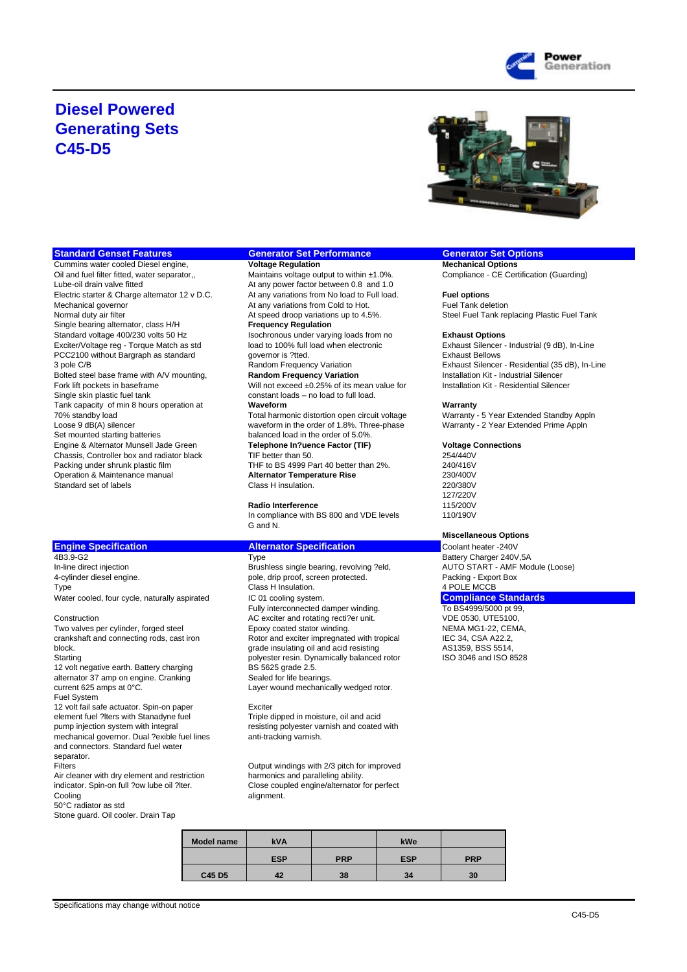

## **Diesel Powered Generating Sets C45-D5**



**Cummins water cooled Diesel engine,** Oil and fuel filter fitted, water separator,, Maintains voltage output to within ±1.0%. Compliance - CE Certification (Guarding)<br>
Lube-oil drain valve fitted Cuarding At any power factor between 0.8 and 1.0 Electric starter & Charge alternator 12 v D.C. At any variations from No load to Full load. **Fuel options** Mechanical governor and the Cold any variations from Cold to Hot.<br>Normal duty air filter and the Cold to At speed droop variations up to 4.5%. Steel Fuel Tank real of the Cold Single bearing alternator, class H/H Standard voltage 400/230 volts 50 Hz<br>
Exciter/Voltage reg - Torque Match as std **International Constant Constant Constant** Constant Constant Constant<br>
Exciter/Voltage reg - Torque Match as std **International Constant Const** Exciter/Voltage reg - Torque Match as std load to 100% full load when electronic Exhaust Silencer - Industrial (9 dB), Industrial (9 dB), Industrial (9 dB), Industrial (9 dB), Industrial (9 dB), Industrial (9 dB), Industri PCC2100 without Bargraph as standard Tank capacity of min 8 hours operation at **Waveform Warranty** Engine & Alternator Munsell Jade Green **Telephone In?uence Factor (TIF) Voltage Connections** Chassis, Controller box and radiator black TIF better than 50. 254/440V<br>Packing under shrunk plastic film THF to BS 4999 Part 40 better than 2%. 240/416V Standard set of labels

4B3.9-G2<br>
The direct injection Type Type Battery Charger 240V,5A<br>
Brushless single bearing, revolving ?eld, AUTO START - AMF Module (Loose) In-line direct injection and Brushless single bearing, revolving ?eld, AUTO START - AMF - AMF AUTO START - AMF<br>4-cylinder diesel engine. Automobile only and the proof, screen protected. And the Packing - Export Box 4-cylinder diesel engine.<br>
Type<br>
Class H Insulation. Water cooled, four cycle, naturally aspirated IC 01 cooling system. **Compliance Standards** 

crankshaft and connecting rods, cast iron Rotor and exciter impregnated with tropical IEC 34, CSA A22.2,<br>
grade insulating oil and acid resisting and active states and active metal and active metal and active metal Starting<br>12 volt negative earth. Battery charging<br>BS 5625 grade 2.5. 12 volt negative earth. Battery charging BS 5625 grade 2.5.<br>
alternator 37 amp on engine. Cranking Sealed for life bearings. alternator 37 amp on engine. Cranking<br>current 625 amps at  $0^{\circ}$ C. Fuel System 12 volt fail safe actuator. Spin-on paper **Exciter** Exciter<br>element fuel ?Iters with Stanadyne fuel **Exciter Exciter** Triple dipped in moisture, oil and acid element fuel ?lters with Stanadyne fuel<br>pump injection system with integral mechanical governor. Dual ?exible fuel lines and connectors. Standard fuel water separator.

Air cleaner with dry element and restriction

50°C radiator as std

Stone guard. Oil cooler. Drain Tap

# **Standard Genset Features <b>Generator Set Performance Generator Set Options**<br> **Cummins water cooled Diesel engine, Cummins water cooled Diesel engine, Cummins water cooled Diesel engine,**

At any power factor between 0.8 and 1.0<br>At any variations from No load to Full load. At speed droop variations up to 4.5%. Steel Fuel Tank replacing Plastic Fuel Tank<br>
Frequency Regulation

Bolted steel base frame with A/V mounting, **Random Frequency Variation Markion Constantion** Installation Kit - Industrial Silencer<br>Fork lift pockets in baseframe Will not exceed ±0.25% of its mean value for Installation Ki Fork lift pockets in baseframe Will not exceed ±0.25% of its mean value for<br>
Single skin plastic fuel tank the state of the Constant loads - no load to full load. constant loads – no load to full load.

70% standby load Total harmonic distortion open circuit voltage Warranty - 5 Year Extended Standby App<br>Loose 9 dB(A) silencer extended Prime Appln<br>Warranty - 2 Year Extended Prime Appln Loose 9 dB(A) silencer waveform in the order of 1.8%. Three-phase<br>Set mounted starting batteries balanced load in the order of 5.0%. balanced load in the order of 5.0%.

Packing under share and the THF to BS 4999 Part 40 better than 2%.<br> **Alternator Temperature Rise** 230/400V Operation & Maintenance manual **Alternator Temperature Rise** 230/400V

### **Radio Interference**

In compliance with BS 800 and VDE levels 110/190V G and N.

**Engine Specification**<br> **Alternator Specification**<br>
Type **Type Type Type Type Battery Charger 240V**<br>
Battery Charger 240V Fully interconnected damper winding.<br>AC exciter and rotating recti?er unit. <br>VDE 0530, UTE5100, Construction Construction AC exciter and rotating recti?er unit.<br>Two valves per cylinder, forged steel Epoxy coated stator winding. NEMA MG1-22, CEMA, Two valves per cylinder, forged steel Epoxy coated stator winding. NEMA MG1-22, CEN<br>Crankshaft and connecting rods, cast iron Rotor and exciter impregnated with tropical IEC 34, CSA A22.2, grade insulating oil and acid resisting and the MS1359, BSS 5514,<br>bolvester resin. Dynamically balanced rotor and ISO 3046 and ISO 8528

Layer wound mechanically wedged rotor.

resisting polyester varnish and coated with anti-tracking varnish

Filters<br>
Filters Cutput windings with 2/3 pitch for improved<br>
Air cleaner with dry element and restriction<br>
Air cleaner with dry element and restriction<br>
Air cleaner with dry element and restriction<br>
Air cleaner with dry e indicator. Spin-on full ?ow lube oil ?lter. Consine coupled engine/alternator for perfect<br>Cooling alignment.

| <b>Model name</b> | <b>kVA</b> |            | kWe        |            |
|-------------------|------------|------------|------------|------------|
|                   | <b>ESP</b> | <b>PRP</b> | <b>ESP</b> | <b>PRP</b> |
| C45 D5            | 42         | 38         | 34         | 30         |

3 pole C/B Random Frequency Variation Exhaust Silencer - Residential (35 dB), In-Line

127/220V

### **Miscellaneous Options**

4 POLE MCCB